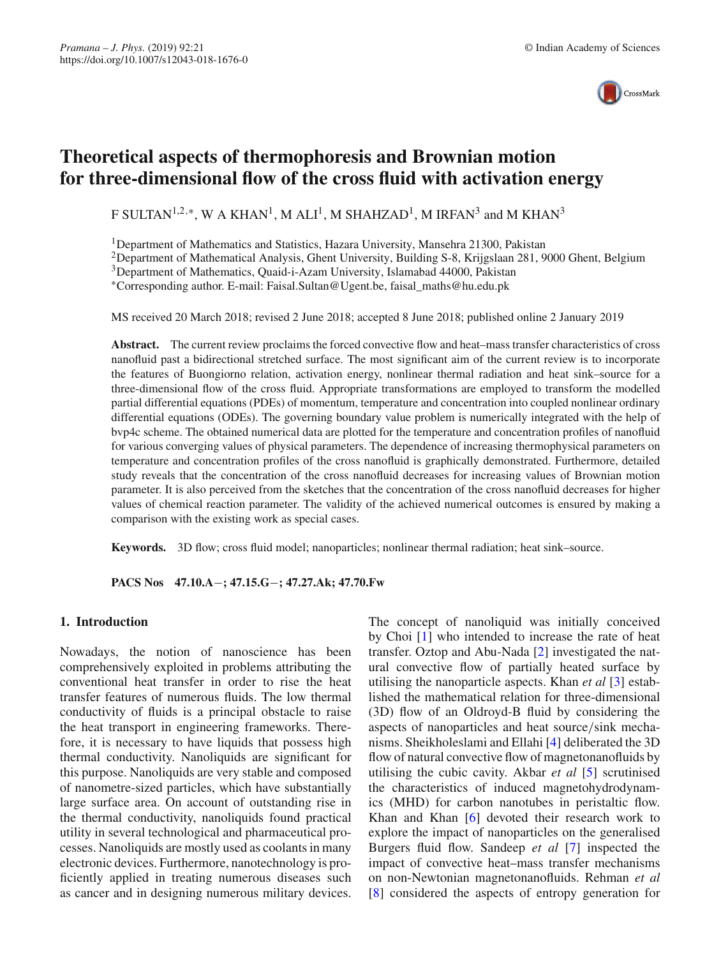

# **Theoretical aspects of thermophoresis and Brownian motion for three-dimensional flow of the cross fluid with activation energy**

F SULTAN<sup>1,2,∗</sup>, W A KHAN<sup>1</sup>, M ALI<sup>1</sup>, M SHAHZAD<sup>1</sup>, M IRFAN<sup>3</sup> and M KHAN<sup>3</sup>

<sup>1</sup>Department of Mathematics and Statistics, Hazara University, Mansehra 21300, Pakistan

<sup>2</sup>Department of Mathematical Analysis, Ghent University, Building S-8, Krijgslaan 281, 9000 Ghent, Belgium

3Department of Mathematics, Quaid-i-Azam University, Islamabad 44000, Pakistan

∗Corresponding author. E-mail: Faisal.Sultan@Ugent.be, faisal\_maths@hu.edu.pk

MS received 20 March 2018; revised 2 June 2018; accepted 8 June 2018; published online 2 January 2019

Abstract. The current review proclaims the forced convective flow and heat–mass transfer characteristics of cross nanofluid past a bidirectional stretched surface. The most significant aim of the current review is to incorporate the features of Buongiorno relation, activation energy, nonlinear thermal radiation and heat sink–source for a three-dimensional flow of the cross fluid. Appropriate transformations are employed to transform the modelled partial differential equations (PDEs) of momentum, temperature and concentration into coupled nonlinear ordinary differential equations (ODEs). The governing boundary value problem is numerically integrated with the help of bvp4c scheme. The obtained numerical data are plotted for the temperature and concentration profiles of nanofluid for various converging values of physical parameters. The dependence of increasing thermophysical parameters on temperature and concentration profiles of the cross nanofluid is graphically demonstrated. Furthermore, detailed study reveals that the concentration of the cross nanofluid decreases for increasing values of Brownian motion parameter. It is also perceived from the sketches that the concentration of the cross nanofluid decreases for higher values of chemical reaction parameter. The validity of the achieved numerical outcomes is ensured by making a comparison with the existing work as special cases.

**Keywords.** 3D flow; cross fluid model; nanoparticles; nonlinear thermal radiation; heat sink–source.

**PACS Nos 47.10.A**−**; 47.15.G**−**; 47.27.Ak; 47.70.Fw**

### **1. Introduction**

Nowadays, the notion of nanoscience has been comprehensively exploited in problems attributing the conventional heat transfer in order to rise the heat transfer features of numerous fluids. The low thermal conductivity of fluids is a principal obstacle to raise the heat transport in engineering frameworks. Therefore, it is necessary to have liquids that possess high thermal conductivity. Nanoliquids are significant for this purpose. Nanoliquids are very stable and composed of nanometre-sized particles, which have substantially large surface area. On account of outstanding rise in the thermal conductivity, nanoliquids found practical utility in several technological and pharmaceutical processes. Nanoliquids are mostly used as coolants in many electronic devices. Furthermore, nanotechnology is proficiently applied in treating numerous diseases such as cancer and in designing numerous military devices.

The concept of nanoliquid was initially conceived by Choi [\[1\]](#page-9-0) who intended to increase the rate of heat transfer. Oztop and Abu-Nada [\[2\]](#page-9-1) investigated the natural convective flow of partially heated surface by utilising the nanoparticle aspects. Khan *et al* [\[3\]](#page-9-2) established the mathematical relation for three-dimensional (3D) flow of an Oldroyd-B fluid by considering the aspects of nanoparticles and heat source/sink mechanisms. Sheikholeslami and Ellahi [\[4](#page-9-3)] deliberated the 3D flow of natural convective flow of magnetonanofluids by utilising the cubic cavity. Akbar *et al* [\[5](#page-9-4)] scrutinised the characteristics of induced magnetohydrodynamics (MHD) for carbon nanotubes in peristaltic flow. Khan and Khan [\[6](#page-9-5)] devoted their research work to explore the impact of nanoparticles on the generalised Burgers fluid flow. Sandeep *et al* [\[7](#page-9-6)] inspected the impact of convective heat–mass transfer mechanisms on non-Newtonian magnetonanofluids. Rehman *et al* [\[8\]](#page-9-7) considered the aspects of entropy generation for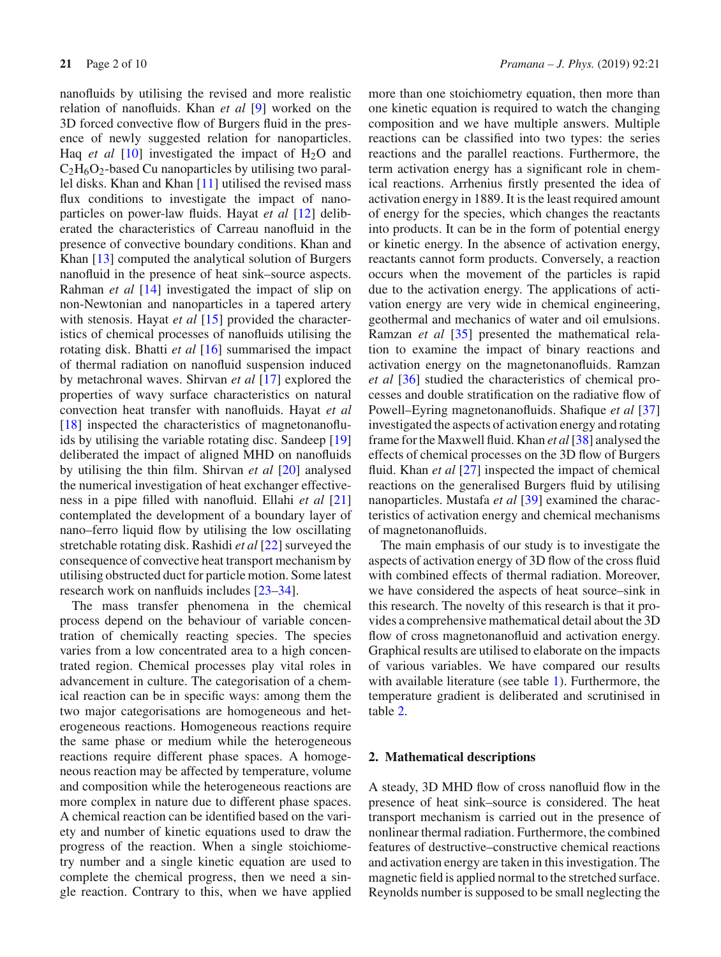nanofluids by utilising the revised and more realistic relation of nanofluids. Khan *et al* [\[9](#page-9-8)] worked on the 3D forced convective flow of Burgers fluid in the presence of newly suggested relation for nanoparticles. Haq *et al*  $[10]$  $[10]$  investigated the impact of  $H_2O$  and  $C_2H_6O_2$ -based Cu nanoparticles by utilising two parallel disks. Khan and Khan [\[11](#page-9-10)] utilised the revised mass flux conditions to investigate the impact of nanoparticles on power-law fluids. Hayat *et al* [\[12](#page-9-11)] deliberated the characteristics of Carreau nanofluid in the presence of convective boundary conditions. Khan and Khan [\[13\]](#page-9-12) computed the analytical solution of Burgers nanofluid in the presence of heat sink–source aspects. Rahman *et al* [\[14\]](#page-9-13) investigated the impact of slip on non-Newtonian and nanoparticles in a tapered artery with stenosis. Hayat *et al* [\[15\]](#page-9-14) provided the characteristics of chemical processes of nanofluids utilising the rotating disk. Bhatti *et al* [\[16](#page-9-15)] summarised the impact of thermal radiation on nanofluid suspension induced by metachronal waves. Shirvan *et al* [\[17\]](#page-9-16) explored the properties of wavy surface characteristics on natural convection heat transfer with nanofluids. Hayat *et al* [\[18](#page-9-17)] inspected the characteristics of magnetonanofluids by utilising the variable rotating disc. Sandeep [\[19\]](#page-9-18) deliberated the impact of aligned MHD on nanofluids by utilising the thin film. Shirvan *et al* [\[20](#page-9-19)] analysed the numerical investigation of heat exchanger effectiveness in a pipe filled with nanofluid. Ellahi *et al* [\[21\]](#page-9-20) contemplated the development of a boundary layer of nano–ferro liquid flow by utilising the low oscillating stretchable rotating disk. Rashidi *et al* [\[22\]](#page-9-21) surveyed the consequence of convective heat transport mechanism by utilising obstructed duct for particle motion. Some latest research work on nanfluids includes [\[23](#page-9-22)[–34\]](#page-9-23).

The mass transfer phenomena in the chemical process depend on the behaviour of variable concentration of chemically reacting species. The species varies from a low concentrated area to a high concentrated region. Chemical processes play vital roles in advancement in culture. The categorisation of a chemical reaction can be in specific ways: among them the two major categorisations are homogeneous and heterogeneous reactions. Homogeneous reactions require the same phase or medium while the heterogeneous reactions require different phase spaces. A homogeneous reaction may be affected by temperature, volume and composition while the heterogeneous reactions are more complex in nature due to different phase spaces. A chemical reaction can be identified based on the variety and number of kinetic equations used to draw the progress of the reaction. When a single stoichiometry number and a single kinetic equation are used to complete the chemical progress, then we need a single reaction. Contrary to this, when we have applied more than one stoichiometry equation, then more than one kinetic equation is required to watch the changing composition and we have multiple answers. Multiple reactions can be classified into two types: the series reactions and the parallel reactions. Furthermore, the term activation energy has a significant role in chemical reactions. Arrhenius firstly presented the idea of activation energy in 1889. It is the least required amount of energy for the species, which changes the reactants into products. It can be in the form of potential energy or kinetic energy. In the absence of activation energy, reactants cannot form products. Conversely, a reaction occurs when the movement of the particles is rapid due to the activation energy. The applications of activation energy are very wide in chemical engineering, geothermal and mechanics of water and oil emulsions. Ramzan *et al* [\[35\]](#page-9-24) presented the mathematical relation to examine the impact of binary reactions and activation energy on the magnetonanofluids. Ramzan *et al* [\[36\]](#page-9-25) studied the characteristics of chemical processes and double stratification on the radiative flow of Powell–Eyring magnetonanofluids. Shafique *et al* [\[37\]](#page-9-26) investigated the aspects of activation energy and rotating frame for the Maxwell fluid. Khan *et al*[\[38\]](#page-9-27) analysed the effects of chemical processes on the 3D flow of Burgers fluid. Khan *et al* [\[27\]](#page-9-28) inspected the impact of chemical reactions on the generalised Burgers fluid by utilising nanoparticles. Mustafa *et al* [\[39\]](#page-9-29) examined the characteristics of activation energy and chemical mechanisms of magnetonanofluids.

The main emphasis of our study is to investigate the aspects of activation energy of 3D flow of the cross fluid with combined effects of thermal radiation. Moreover, we have considered the aspects of heat source–sink in this research. The novelty of this research is that it provides a comprehensive mathematical detail about the 3D flow of cross magnetonanofluid and activation energy. Graphical results are utilised to elaborate on the impacts of various variables. We have compared our results with available literature (see table [1\)](#page-2-0). Furthermore, the temperature gradient is deliberated and scrutinised in table [2.](#page-2-1)

#### **2. Mathematical descriptions**

A steady, 3D MHD flow of cross nanofluid flow in the presence of heat sink–source is considered. The heat transport mechanism is carried out in the presence of nonlinear thermal radiation. Furthermore, the combined features of destructive–constructive chemical reactions and activation energy are taken in this investigation. The magnetic field is applied normal to the stretched surface. Reynolds number is supposed to be small neglecting the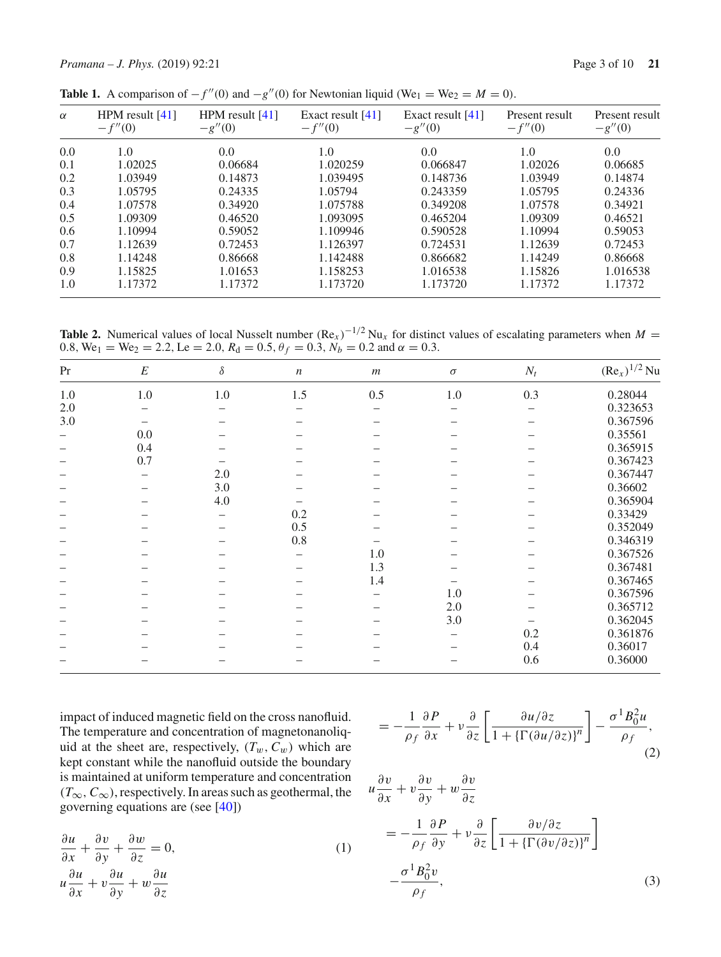<span id="page-2-0"></span>

| $\alpha$ | HPM result $[41]$<br>$-f''(0)$ | HPM result $[41]$<br>$-g''(0)$ | Exact result $[41]$<br>$-f''(0)$ | Exact result $[41]$<br>$-g''(0)$ | Present result<br>$-f''(0)$ | Present result<br>$-g''(0)$ |
|----------|--------------------------------|--------------------------------|----------------------------------|----------------------------------|-----------------------------|-----------------------------|
| 0.0      | 1.0                            | 0.0                            | 1.0                              | 0.0                              | 1.0                         | 0.0                         |
| 0.1      | 1.02025                        | 0.06684                        | 1.020259                         | 0.066847                         | 1.02026                     | 0.06685                     |
| 0.2      | 1.03949                        | 0.14873                        | 1.039495                         | 0.148736                         | 1.03949                     | 0.14874                     |
| 0.3      | 1.05795                        | 0.24335                        | 1.05794                          | 0.243359                         | 1.05795                     | 0.24336                     |
| 0.4      | 1.07578                        | 0.34920                        | 1.075788                         | 0.349208                         | 1.07578                     | 0.34921                     |
| 0.5      | 1.09309                        | 0.46520                        | 1.093095                         | 0.465204                         | 1.09309                     | 0.46521                     |
| 0.6      | 1.10994                        | 0.59052                        | 1.109946                         | 0.590528                         | 1.10994                     | 0.59053                     |
| 0.7      | 1.12639                        | 0.72453                        | 1.126397                         | 0.724531                         | 1.12639                     | 0.72453                     |
| 0.8      | 1.14248                        | 0.86668                        | 1.142488                         | 0.866682                         | 1.14249                     | 0.86668                     |
| 0.9      | 1.15825                        | 1.01653                        | 1.158253                         | 1.016538                         | 1.15826                     | 1.016538                    |
| 1.0      | 1.17372                        | 1.17372                        | 1.173720                         | 1.173720                         | 1.17372                     | 1.17372                     |

**Table 1.** A comparison of  $-f''(0)$  and  $-g''(0)$  for Newtonian liquid (We<sub>1</sub> = We<sub>2</sub> = *M* = 0).

<span id="page-2-1"></span>**Table 2.** Numerical values of local Nusselt number  $(Re_x)^{-1/2}$  Nu<sub>x</sub> for distinct values of escalating parameters when  $M =$ 0.8,  $\text{We}_1 = \text{We}_2 = 2.2$ ,  $\text{Le} = 2.0$ ,  $R_d = 0.5$ ,  $\theta_f = 0.3$ ,  $N_b = 0.2$  and  $\alpha = 0.3$ .

| Pr                       | $\cal E$ | $\delta$ | $\boldsymbol{n}$ | $\boldsymbol{m}$ | $\sigma$ | $N_t$ | $(Re_x)^{1/2}$ Nu |
|--------------------------|----------|----------|------------------|------------------|----------|-------|-------------------|
| $1.0\,$                  | $1.0\,$  | $1.0\,$  | 1.5              | 0.5              | $1.0\,$  | 0.3   | 0.28044           |
| 2.0                      |          |          |                  |                  |          |       | 0.323653          |
| 3.0                      |          |          |                  |                  |          |       | 0.367596          |
|                          | 0.0      |          |                  |                  |          |       | 0.35561           |
| $\overline{\phantom{0}}$ | 0.4      |          |                  |                  |          |       | 0.365915          |
|                          | 0.7      |          |                  |                  |          |       | 0.367423          |
|                          |          | 2.0      |                  |                  |          |       | 0.367447          |
|                          |          | 3.0      |                  |                  |          |       | 0.36602           |
|                          |          | 4.0      |                  |                  |          |       | 0.365904          |
|                          |          |          | 0.2              |                  |          |       | 0.33429           |
|                          |          |          | 0.5              |                  |          |       | 0.352049          |
|                          |          |          | $0.8\,$          |                  |          |       | 0.346319          |
|                          |          |          |                  | 1.0              |          |       | 0.367526          |
|                          |          |          |                  | 1.3              |          |       | 0.367481          |
|                          |          |          |                  | 1.4              |          |       | 0.367465          |
|                          |          |          |                  |                  | 1.0      |       | 0.367596          |
|                          |          |          |                  |                  | 2.0      |       | 0.365712          |
|                          |          |          |                  |                  | 3.0      |       | 0.362045          |
|                          |          |          |                  |                  |          | 0.2   | 0.361876          |
|                          |          |          |                  |                  |          | 0.4   | 0.36017           |
|                          |          |          |                  |                  |          | 0.6   | 0.36000           |

impact of induced magnetic field on the cross nanofluid. The temperature and concentration of magnetonanoliquid at the sheet are, respectively,  $(T_w, C_w)$  which are kept constant while the nanofluid outside the boundary is maintained at uniform temperature and concentration (*T*∞,*C*∞), respectively. In areas such as geothermal, the governing equations are (see [\[40](#page-9-31)])

<span id="page-2-2"></span>
$$
\frac{\partial u}{\partial x} + \frac{\partial v}{\partial y} + \frac{\partial w}{\partial z} = 0,
$$
  
\n
$$
u \frac{\partial u}{\partial x} + v \frac{\partial u}{\partial y} + w \frac{\partial u}{\partial z}
$$
\n(1)

$$
= -\frac{1}{\rho_f} \frac{\partial P}{\partial x} + v \frac{\partial}{\partial z} \left[ \frac{\partial u/\partial z}{1 + {\{\Gamma(\partial u/\partial z)\}}^n} \right] - \frac{\sigma^1 B_0^2 u}{\rho_f},\tag{2}
$$

$$
u\frac{\partial v}{\partial x} + v\frac{\partial v}{\partial y} + w\frac{\partial v}{\partial z}
$$
  
= 
$$
-\frac{1}{\rho_f} \frac{\partial P}{\partial y} + v\frac{\partial}{\partial z} \left[ \frac{\partial v/\partial z}{1 + {\{\Gamma(\partial v/\partial z)\}}^n} \right]
$$
  

$$
-\frac{\sigma^1 B_0^2 v}{\rho_f},
$$
 (3)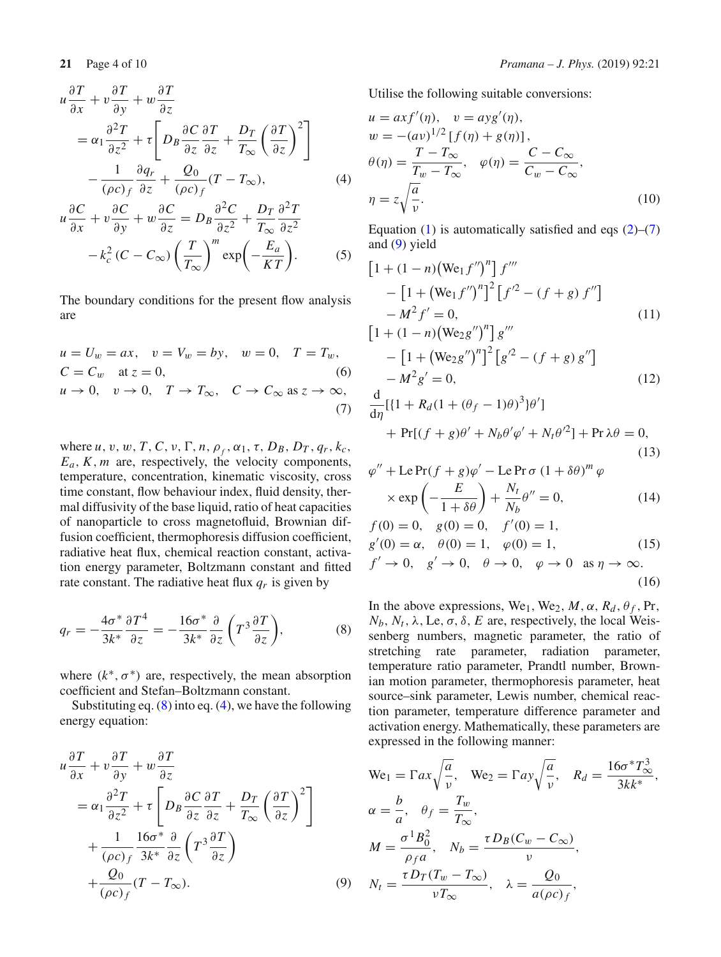$$
u\frac{\partial T}{\partial x} + v\frac{\partial T}{\partial y} + w\frac{\partial T}{\partial z} = \alpha_1 \frac{\partial^2 T}{\partial z^2} + \tau \left[ D_B \frac{\partial C}{\partial z} \frac{\partial T}{\partial z} + \frac{D_T}{T_{\infty}} \left( \frac{\partial T}{\partial z} \right)^2 \right] - \frac{1}{(\rho c)_f} \frac{\partial q_r}{\partial z} + \frac{Q_0}{(\rho c)_f} (T - T_{\infty}),
$$
(4)

$$
u\frac{\partial C}{\partial x} + v\frac{\partial C}{\partial y} + w\frac{\partial C}{\partial z} = D_B \frac{\partial^2 C}{\partial z^2} + \frac{D_T}{T_{\infty}} \frac{\partial^2 T}{\partial z^2} -k_c^2 (C - C_{\infty}) \left(\frac{T}{T_{\infty}}\right)^m \exp\left(-\frac{E_a}{KT}\right).
$$
 (5)

The boundary conditions for the present flow analysis are

<span id="page-3-1"></span>
$$
u = U_w = ax, \quad v = V_w = by, \quad w = 0, \quad T = T_w,
$$
  
\n
$$
C = C_w \quad \text{at } z = 0,
$$
  
\n
$$
u \to 0, \quad v \to 0, \quad T \to T_{\infty}, \quad C \to C_{\infty} \text{ as } z \to \infty,
$$
  
\n(7)

where  $u, v, w, T, C, v, \Gamma, n, \rho_f, \alpha_1, \tau, D_B, D_T, q_r, k_c$ ,  $E_a$ ,  $K$ ,  $m$  are, respectively, the velocity components, temperature, concentration, kinematic viscosity, cross time constant, flow behaviour index, fluid density, thermal diffusivity of the base liquid, ratio of heat capacities of nanoparticle to cross magnetofluid, Brownian diffusion coefficient, thermophoresis diffusion coefficient, radiative heat flux, chemical reaction constant, activation energy parameter, Boltzmann constant and fitted rate constant. The radiative heat flux  $q_r$  is given by

$$
q_r = -\frac{4\sigma^*}{3k^*} \frac{\partial T^4}{\partial z} = -\frac{16\sigma^*}{3k^*} \frac{\partial}{\partial z} \left( T^3 \frac{\partial T}{\partial z} \right),\tag{8}
$$

where  $(k^*, \sigma^*)$  are, respectively, the mean absorption coefficient and Stefan–Boltzmann constant.

Substituting eq.  $(8)$  into eq.  $(4)$ , we have the following energy equation:

<span id="page-3-2"></span>
$$
u\frac{\partial T}{\partial x} + v\frac{\partial T}{\partial y} + w\frac{\partial T}{\partial z}
$$
  
=  $\alpha_1 \frac{\partial^2 T}{\partial z^2} + \tau \left[ D_B \frac{\partial C}{\partial z} \frac{\partial T}{\partial z} + \frac{D_T}{T_{\infty}} \left( \frac{\partial T}{\partial z} \right)^2 \right]$   
+  $\frac{1}{(\rho c)_f} \frac{16\sigma^*}{3k^*} \frac{\partial}{\partial z} \left( T^3 \frac{\partial T}{\partial z} \right)$   
+  $\frac{Q_0}{(\rho c)_f} (T - T_{\infty}).$  (9)

Utilise the following suitable conversions:

$$
u = axf'(\eta), \quad v = ayg'(\eta),
$$
  
\n
$$
w = -(av)^{1/2} [f(\eta) + g(\eta)],
$$
  
\n
$$
\theta(\eta) = \frac{T - T_{\infty}}{T_w - T_{\infty}}, \quad \varphi(\eta) = \frac{C - C_{\infty}}{C_w - C_{\infty}},
$$
  
\n
$$
\eta = z \sqrt{\frac{a}{v}}.
$$
\n(10)

Equation [\(1\)](#page-2-2) is automatically satisfied and eqs  $(2)$ – $(7)$ and [\(9\)](#page-3-2) yield

$$
[1 + (1 - n)(We_1 f'')^n] f'''
$$
  
\n
$$
- [1 + (We_1 f'')^n]^2 [f'^2 - (f + g) f'']
$$
  
\n
$$
- M^2 f' = 0,
$$
  
\n
$$
[1 + (1 - n)(We_2 g'')^n] g'''
$$
  
\n
$$
- [1 + (We_2 g'')^n]^2 [g'^2 - (f + g) g'']
$$
  
\n
$$
- M^2 g' = 0,
$$
  
\n
$$
(12)
$$

$$
\frac{d}{d\eta}[\{1 + R_d(1 + (\theta_f - 1)\theta)^3\}\theta']
$$
  
+ Pr[(f + g)\theta' + N\_b\theta'\varphi' + N\_t\theta'^2] + Pr  $\lambda\theta = 0$ , (13)

$$
\varphi'' + \text{Le Pr}(f + g)\varphi' - \text{Le Pr}\,\sigma (1 + \delta\theta)^m \varphi
$$

$$
\times \exp\left(-\frac{E}{1 + \delta\theta}\right) + \frac{N_t}{N_b}\theta'' = 0,
$$
(14)

$$
f(0) = 0, \quad g(0) = 0, \quad f'(0) = 1,g'(0) = \alpha, \quad \theta(0) = 1, \quad \varphi(0) = 1,
$$
 (15)  

$$
f' \to 0, \quad g' \to 0, \quad \theta \to 0, \quad \varphi \to 0 \quad \text{as } \eta \to \infty.
$$
 (16)

<span id="page-3-0"></span>In the above expressions, We<sub>1</sub>, We<sub>2</sub>, *M*,  $\alpha$ ,  $R_d$ ,  $\theta_f$ , Pr,  $N_b$ ,  $N_t$ ,  $\lambda$ , Le,  $\sigma$ ,  $\delta$ , *E* are, respectively, the local Weissenberg numbers, magnetic parameter, the ratio of stretching rate parameter, radiation parameter, temperature ratio parameter, Prandtl number, Brownian motion parameter, thermophoresis parameter, heat source–sink parameter, Lewis number, chemical reaction parameter, temperature difference parameter and activation energy. Mathematically, these parameters are expressed in the following manner:

We<sub>1</sub> = 
$$
\Gamma ax \sqrt{\frac{a}{v}}
$$
, We<sub>2</sub> =  $\Gamma ay \sqrt{\frac{a}{v}}$ ,  $R_d = \frac{16\sigma^* T_{\infty}^3}{3kk^*}$ ,  
\n $\alpha = \frac{b}{a}$ ,  $\theta_f = \frac{T_w}{T_{\infty}}$ ,  
\n $M = \frac{\sigma^1 B_0^2}{\rho_f a}$ ,  $N_b = \frac{\tau D_B (C_w - C_{\infty})}{v}$ ,  
\n $N_t = \frac{\tau D_T (T_w - T_{\infty})}{v T_{\infty}}$ ,  $\lambda = \frac{Q_0}{a(\rho c)_f}$ ,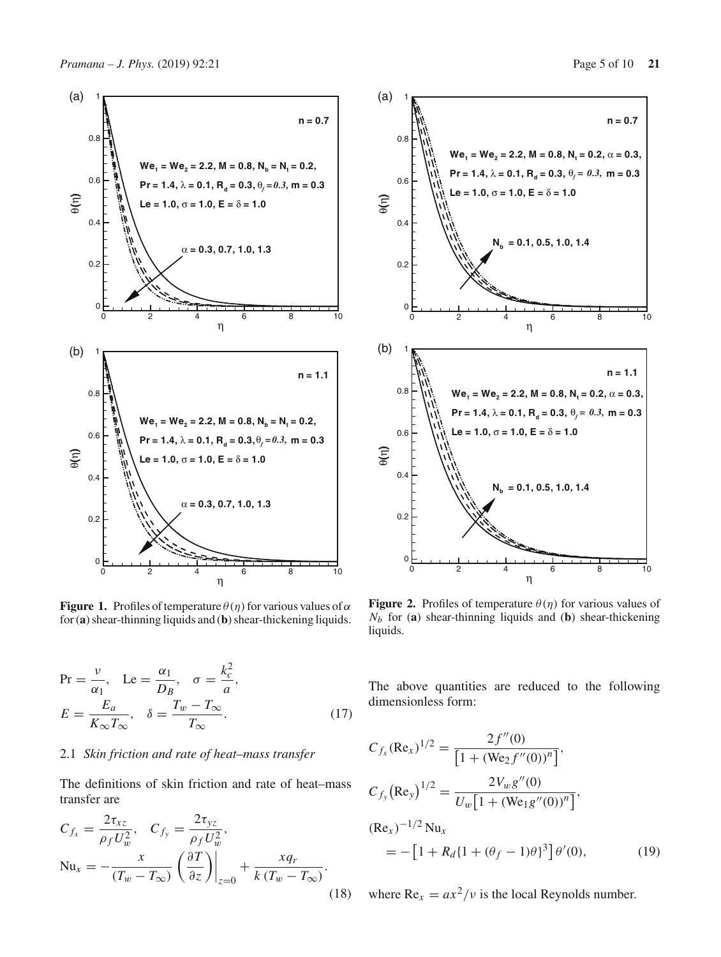

<span id="page-4-0"></span>**Figure 1.** Profiles of temperature  $\theta(\eta)$  for various values of  $\alpha$ for (**a**) shear-thinning liquids and (**b**) shear-thickening liquids.

$$
\Pr = \frac{v}{\alpha_1}, \quad \text{Le} = \frac{\alpha_1}{D_B}, \quad \sigma = \frac{k_c^2}{a},
$$
\n
$$
E = \frac{E_a}{K_{\infty} T_{\infty}}, \quad \delta = \frac{T_w - T_{\infty}}{T_{\infty}}.
$$
\n(17)

# 2.1 *Skin friction and rate of heat–mass transfer*

The definitions of skin friction and rate of heat–mass transfer are

$$
C_{f_x} = \frac{2\tau_{xz}}{\rho_f U_w^2}, \quad C_{f_y} = \frac{2\tau_{yz}}{\rho_f U_w^2},
$$
  
\n
$$
Nu_x = -\frac{x}{(T_w - T_\infty)} \left(\frac{\partial T}{\partial z}\right)\Big|_{z=0} + \frac{xq_r}{k(T_w - T_\infty)}.
$$
\n(18)



<span id="page-4-1"></span>**Figure 2.** Profiles of temperature  $\theta(\eta)$  for various values of *Nb* for (**a**) shear-thinning liquids and (**b**) shear-thickening liquids.

The above quantities are reduced to the following dimensionless form:

$$
C_{f_x}(\text{Re}_x)^{1/2} = \frac{2f''(0)}{[1 + (\text{We}_2 f''(0))^n]},
$$
  
\n
$$
C_{f_y}(\text{Re}_y)^{1/2} = \frac{2V_w g''(0)}{U_w[1 + (\text{We}_1 g''(0))^n]},
$$
  
\n
$$
(\text{Re}_x)^{-1/2} \text{Nu}_x
$$
  
\n
$$
= -[1 + R_d \{1 + (\theta_f - 1)\theta\}^3] \theta'(0),
$$
\n(19)

where  $Re_x = ax^2/v$  is the local Reynolds number.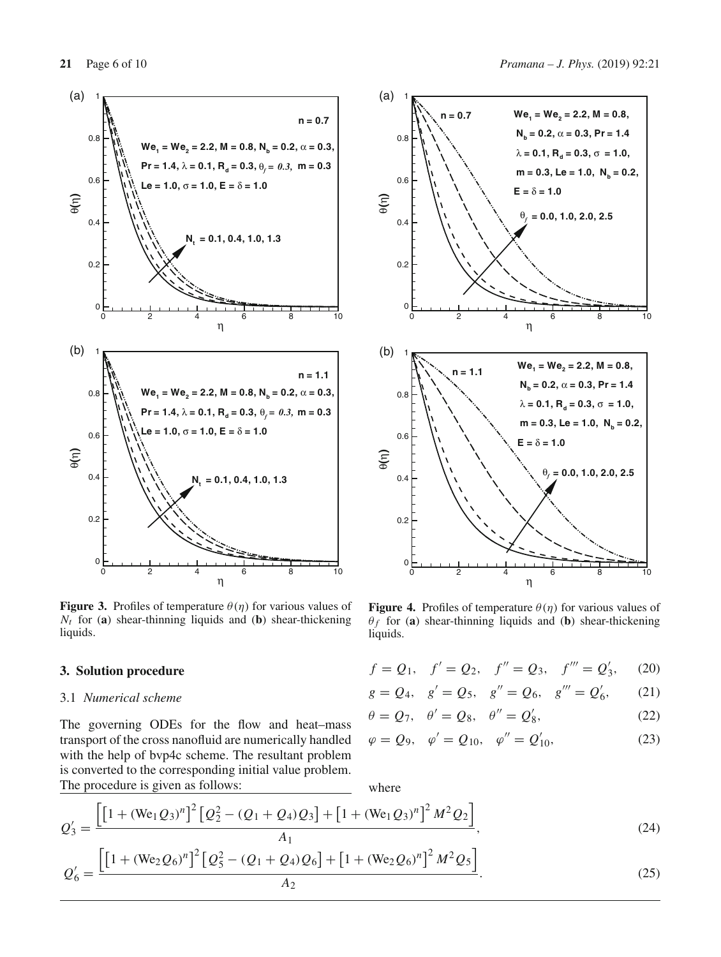

<span id="page-5-1"></span>**Figure 3.** Profiles of temperature  $\theta(\eta)$  for various values of  $N_t$  for (**a**) shear-thinning liquids and (**b**) shear-thickening liquids.

#### **3. Solution procedure**

### 3.1 *Numerical scheme*

The governing ODEs for the flow and heat–mass transport of the cross nanofluid are numerically handled with the help of bvp4c scheme. The resultant problem is converted to the corresponding initial value problem. The procedure is given as follows:



<span id="page-5-0"></span>**Figure 4.** Profiles of temperature  $\theta(\eta)$  for various values of  $\theta_f$  for (a) shear-thinning liquids and (b) shear-thickening liquids.

| $f = Q_1, \quad f' = Q_2, \quad f'' = Q_3, \quad f''' = Q'_3, \quad (20)$ |  |  |  |  |  |
|---------------------------------------------------------------------------|--|--|--|--|--|
|---------------------------------------------------------------------------|--|--|--|--|--|

 $g = Q_4$ ,  $g' = Q_5$ ,  $g'' = Q_6$ ,  $g''' = Q'_6$ ,  $(21)$ 

$$
\theta = Q_7, \quad \theta' = Q_8, \quad \theta'' = Q_8', \tag{22}
$$

$$
\varphi = Q_9, \quad \varphi' = Q_{10}, \quad \varphi'' = Q'_{10},
$$
\n(23)

where

$$
Q_3' = \frac{\left[\left[1 + (\text{We}_1 Q_3)^n\right]^2 \left[Q_2^2 - (Q_1 + Q_4)Q_3\right] + \left[1 + (\text{We}_1 Q_3)^n\right]^2 M^2 Q_2\right]}{A_1},\tag{24}
$$

$$
Q'_6 = \frac{\left[\left[1 + (\text{We}_2 Q_6)^n\right]^2 \left[Q_5^2 - (Q_1 + Q_4)Q_6\right] + \left[1 + (\text{We}_2 Q_6)^n\right]^2 M^2 Q_5\right]}{A_2}.
$$
\n(25)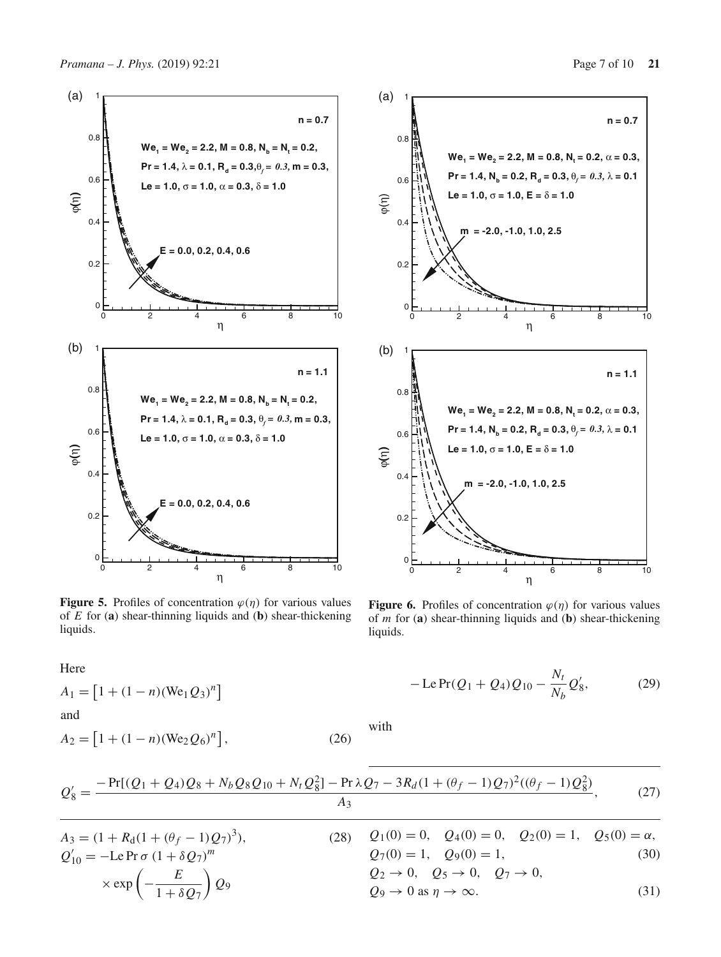

<span id="page-6-0"></span>**Figure 5.** Profiles of concentration  $\varphi(\eta)$  for various values of *E* for (**a**) shear-thinning liquids and (**b**) shear-thickening liquids.

Here

$$
A_1 = [1 + (1 - n)(\text{We}_1 Q_3)^n]
$$
  
and

$$
A_2 = [1 + (1 - n)(\text{We}_2 Q_6)^n], \tag{26}
$$



<span id="page-6-1"></span>**Figure 6.** Profiles of concentration  $\varphi(\eta)$  for various values of *m* for (**a**) shear-thinning liquids and (**b**) shear-thickening liquids.

$$
-\operatorname{LePr}(Q_1 + Q_4)Q_{10} - \frac{N_t}{N_b}Q'_8, \tag{29}
$$

with

$$
Q'_8 = \frac{-\Pr[(Q_1 + Q_4)Q_8 + N_b Q_8 Q_{10} + N_t Q_8^2] - \Pr \lambda Q_7 - 3R_d (1 + (\theta_f - 1)Q_7)^2 ((\theta_f - 1)Q_8^2)}{A_3},
$$
(27)

$$
A_3 = (1 + R_d(1 + (\theta_f - 1)Q_7)^3),
$$
  
\n
$$
Q'_{10} = -Le \Pr \sigma (1 + \delta Q_7)^m
$$
  
\n
$$
\times \exp \left(-\frac{E}{1 + \delta Q_7}\right) Q_9
$$
  
\n
$$
A_3 = (1 + R_d(1 + (\theta_f - 1)Q_7)^3),
$$
  
\n
$$
Q_1(0) = 0, Q_4(0) = 0, Q_2(0) = 1, Q_2(0) = 1, Q_5(0) = \alpha,
$$
  
\n
$$
Q_7(0) = 1, Q_9(0) = 1,
$$
  
\n
$$
Q_2 \rightarrow 0, Q_5 \rightarrow 0, Q_7 \rightarrow 0,
$$
  
\n
$$
Q_9 \rightarrow 0 \text{ as } \eta \rightarrow \infty.
$$
  
\n(31)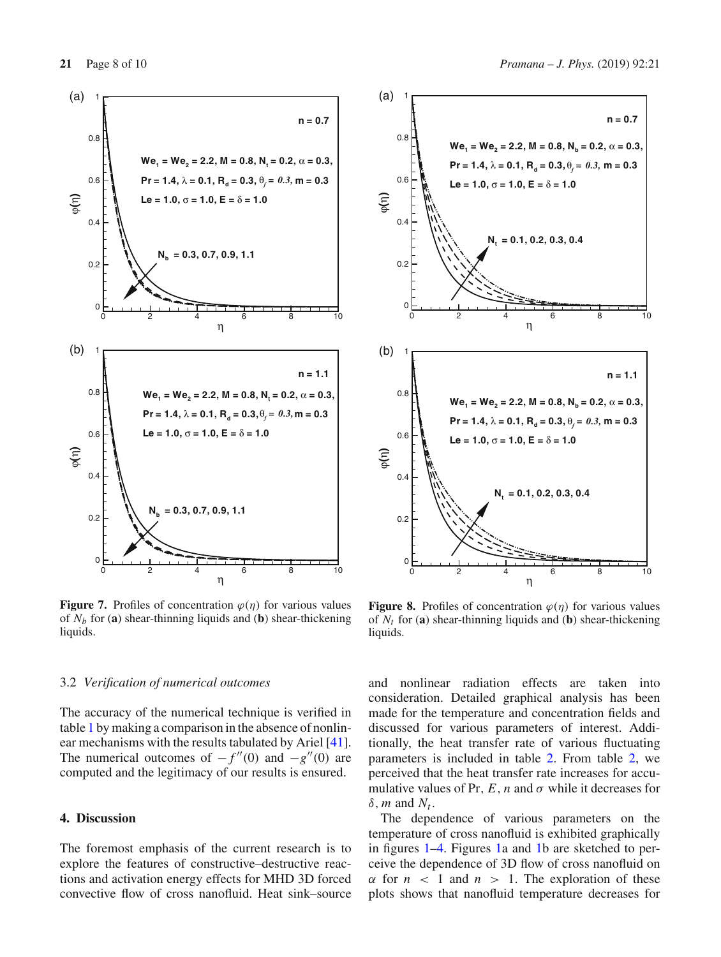

<span id="page-7-0"></span>**Figure 7.** Profiles of concentration  $\varphi(\eta)$  for various values of  $N_b$  for (**a**) shear-thinning liquids and (**b**) shear-thickening liquids.

#### 3.2 *Verification of numerical outcomes*

The accuracy of the numerical technique is verified in table [1](#page-2-0) by making a comparison in the absence of nonlinear mechanisms with the results tabulated by Ariel [\[41](#page-9-30)]. The numerical outcomes of  $-f''(0)$  and  $-g''(0)$  are computed and the legitimacy of our results is ensured.

# **4. Discussion**

The foremost emphasis of the current research is to explore the features of constructive–destructive reactions and activation energy effects for MHD 3D forced convective flow of cross nanofluid. Heat sink–source



<span id="page-7-1"></span>**Figure 8.** Profiles of concentration  $\varphi(\eta)$  for various values of  $N_t$  for (**a**) shear-thinning liquids and (**b**) shear-thickening liquids.

and nonlinear radiation effects are taken into consideration. Detailed graphical analysis has been made for the temperature and concentration fields and discussed for various parameters of interest. Additionally, the heat transfer rate of various fluctuating parameters is included in table [2.](#page-2-1) From table [2,](#page-2-1) we perceived that the heat transfer rate increases for accumulative values of Pr,  $E$ ,  $n$  and  $\sigma$  while it decreases for  $\delta$ , *m* and  $N_t$ .

The dependence of various parameters on the temperature of cross nanofluid is exhibited graphically in figures [1–](#page-4-0)[4.](#page-5-0) Figures [1a](#page-4-0) and [1b](#page-4-0) are sketched to perceive the dependence of 3D flow of cross nanofluid on  $\alpha$  for  $n < 1$  and  $n > 1$ . The exploration of these plots shows that nanofluid temperature decreases for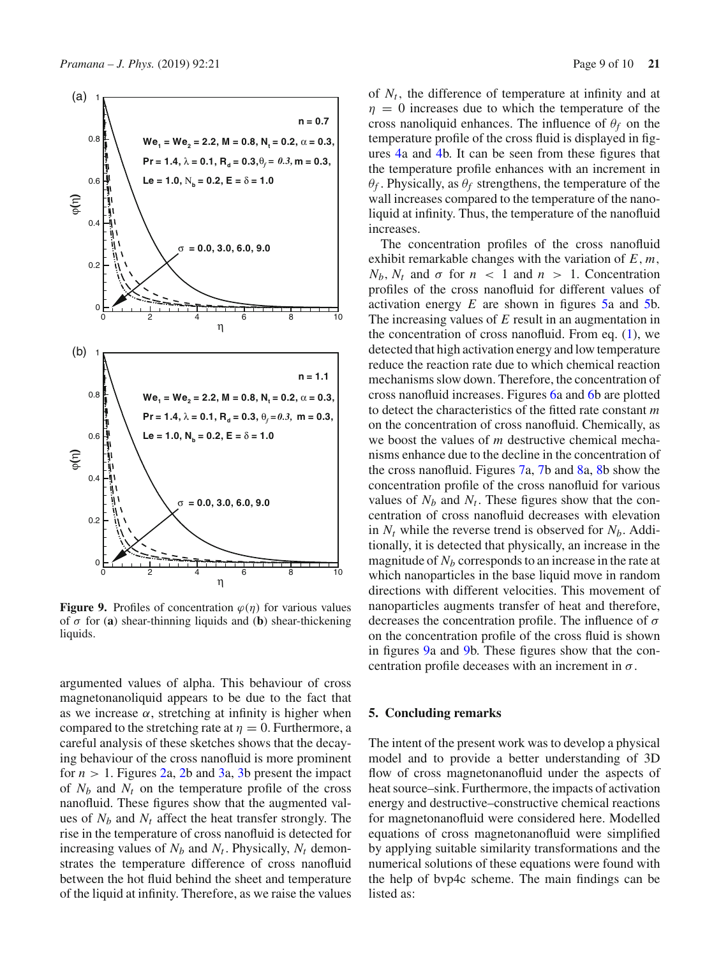

<span id="page-8-0"></span>**Figure 9.** Profiles of concentration  $\varphi(\eta)$  for various values of σ for (**a**) shear-thinning liquids and (**b**) shear-thickening liquids.

argumented values of alpha. This behaviour of cross magnetonanoliquid appears to be due to the fact that as we increase  $\alpha$ , stretching at infinity is higher when compared to the stretching rate at  $\eta = 0$ . Furthermore, a careful analysis of these sketches shows that the decaying behaviour of the cross nanofluid is more prominent for  $n > 1$ . Figures [2a](#page-4-1), [2b](#page-4-1) and [3a](#page-5-1), [3b](#page-5-1) present the impact of  $N_b$  and  $N_t$  on the temperature profile of the cross nanofluid. These figures show that the augmented values of  $N_b$  and  $N_t$  affect the heat transfer strongly. The rise in the temperature of cross nanofluid is detected for increasing values of  $N_b$  and  $N_t$ . Physically,  $N_t$  demonstrates the temperature difference of cross nanofluid between the hot fluid behind the sheet and temperature of the liquid at infinity. Therefore, as we raise the values of  $N_t$ , the difference of temperature at infinity and at  $\eta = 0$  increases due to which the temperature of the cross nanoliquid enhances. The influence of  $\theta_f$  on the temperature profile of the cross fluid is displayed in figures [4a](#page-5-0) and [4b](#page-5-0). It can be seen from these figures that the temperature profile enhances with an increment in  $\theta_f$ . Physically, as  $\theta_f$  strengthens, the temperature of the wall increases compared to the temperature of the nanoliquid at infinity. Thus, the temperature of the nanofluid increases.

The concentration profiles of the cross nanofluid exhibit remarkable changes with the variation of *E*, *m*,  $N_b$ ,  $N_t$  and  $\sigma$  for  $n < 1$  and  $n > 1$ . Concentration profiles of the cross nanofluid for different values of activation energy *E* are shown in figures [5a](#page-6-0) and [5b](#page-6-0). The increasing values of *E* result in an augmentation in the concentration of cross nanofluid. From eq.  $(1)$ , we detected that high activation energy and low temperature reduce the reaction rate due to which chemical reaction mechanisms slow down. Therefore, the concentration of cross nanofluid increases. Figures [6a](#page-6-1) and [6b](#page-6-1) are plotted to detect the characteristics of the fitted rate constant *m* on the concentration of cross nanofluid. Chemically, as we boost the values of *m* destructive chemical mechanisms enhance due to the decline in the concentration of the cross nanofluid. Figures [7a](#page-7-0), [7b](#page-7-0) and [8a](#page-7-1), [8b](#page-7-1) show the concentration profile of the cross nanofluid for various values of  $N_b$  and  $N_t$ . These figures show that the concentration of cross nanofluid decreases with elevation in  $N_t$  while the reverse trend is observed for  $N_b$ . Additionally, it is detected that physically, an increase in the magnitude of  $N_b$  corresponds to an increase in the rate at which nanoparticles in the base liquid move in random directions with different velocities. This movement of nanoparticles augments transfer of heat and therefore, decreases the concentration profile. The influence of  $\sigma$ on the concentration profile of the cross fluid is shown in figures [9a](#page-8-0) and [9b](#page-8-0). These figures show that the concentration profile deceases with an increment in  $\sigma$ .

#### **5. Concluding remarks**

The intent of the present work was to develop a physical model and to provide a better understanding of 3D flow of cross magnetonanofluid under the aspects of heat source–sink. Furthermore, the impacts of activation energy and destructive–constructive chemical reactions for magnetonanofluid were considered here. Modelled equations of cross magnetonanofluid were simplified by applying suitable similarity transformations and the numerical solutions of these equations were found with the help of bvp4c scheme. The main findings can be listed as: